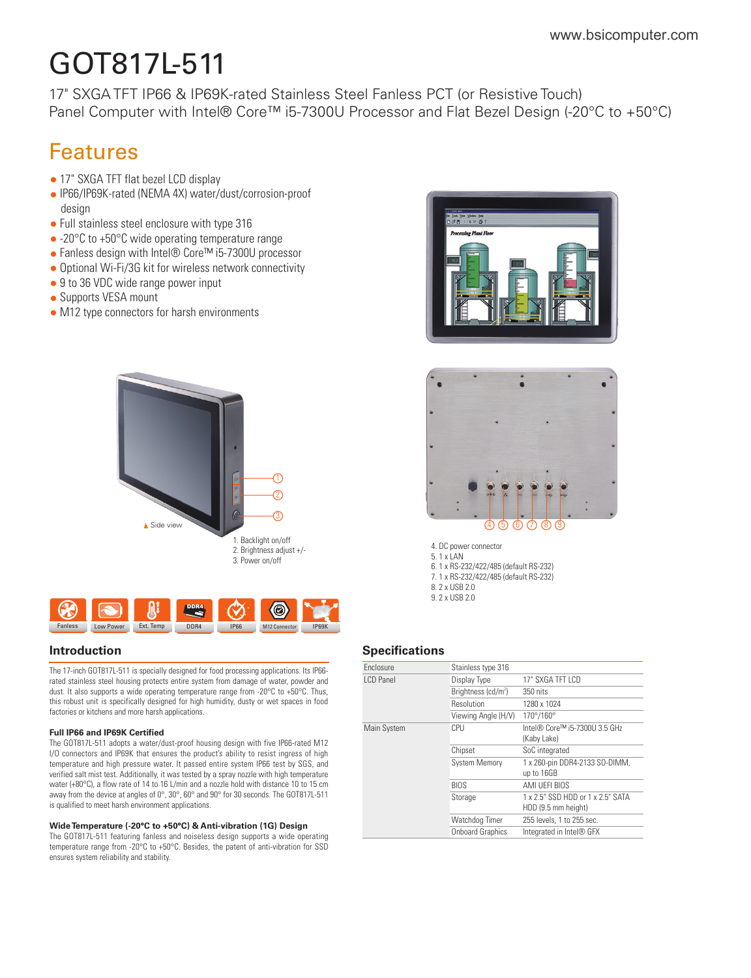# GOT817L-511

17" SXGA TFT IP66 & IP69K-rated Stainless Steel Fanless PCT (or Resistive Touch) Panel Computer with Intel® Core<sup>™</sup> i5-7300U Processor and Flat Bezel Design (-20°C to +50°C)

## Features

- 17" SXGA TFT flat bezel LCD display
- IP66/IP69K-rated (NEMA 4X) water/dust/corrosion-proof design
- Full stainless steel enclosure with type 316
- -20°C to +50°C wide operating temperature range
- Fanless design with Intel® Core™ i5-7300U processor
- Optional Wi-Fi/3G kit for wireless network connectivity
- 9 to 36 VDC wide range power input
- Supports VESA mount
- M12 type connectors for harsh environments





The 17-inch GOT817L-511 is specially designed for food processing applications. Its IP66 rated stainless steel housing protects entire system from damage of water, powder and dust. It also supports a wide operating temperature range from -20°C to +50°C. Thus, this robust unit is specifically designed for high humidity, dusty or wet spaces in food factories or kitchens and more harsh applications.

#### **Full IP66 and IP69K Certified**

The GOT817L-511 adopts a water/dust-proof housing design with five IP66-rated M12 I/O connectors and IP69K that ensures the product's ability to resist ingress of high temperature and high pressure water. It passed entire system IP66 test by SGS, and verified salt mist test. Additionally, it was tested by a spray nozzle with high temperature water (+80°C), a flow rate of 14 to 16 L/min and a nozzle hold with distance 10 to 15 cm away from the device at angles of 0°, 30°, 60° and 90° for 30 seconds. The GOT817L-511 is qualified to meet harsh environment applications.

#### **Wide Temperature (-20°C to +50°C) & Anti-vibration (1G) Design**

The GOT817L-511 featuring fanless and noiseless design supports a wide operating temperature range from -20°C to +50°C. Besides, the patent of anti-vibration for SSD ensures system reliability and stability.





4. DC power connector 5. 1 x LAN 6. 1 x RS-232/422/485 (default RS-232) 7. 1 x RS-232/422/485 (default RS-232) 8. 2 x USB 2.0 9. 2 x USB 2.0

#### **Introduction Specifications**

| <b>Fnclosure</b> | Stainless type 316              |                                                          |
|------------------|---------------------------------|----------------------------------------------------------|
| I CD Panel       | Display Type                    | 17" SXGA TFT LCD                                         |
|                  | Brightness (cd/m <sup>2</sup> ) | 350 nits                                                 |
|                  | Resolution                      | 1280 x 1024                                              |
|                  | Viewing Angle (H/V)             | 170°/160°                                                |
| Main System      | CPU                             | Intel® Core™ i5-7300U 3.5 GHz<br>(Kaby Lake)             |
|                  | Chipset                         | SoC integrated                                           |
|                  | <b>System Memory</b>            | 1 x 260-pin DDR4-2133 SO-DIMM,<br>up to 16GB             |
|                  | <b>BIOS</b>                     | AMI UEFI BIOS                                            |
|                  | Storage                         | 1 x 2.5" SSD HDD or 1 x 2.5" SATA<br>HDD (9.5 mm height) |
|                  | Watchdog Timer                  | 255 levels, 1 to 255 sec.                                |
|                  | <b>Onboard Graphics</b>         | Integrated in Intel® GFX                                 |